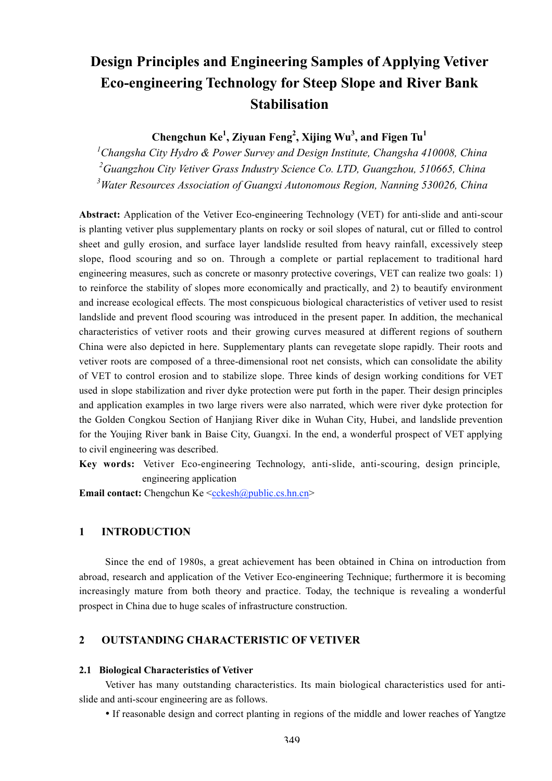# **Design Principles and Engineering Samples of Applying Vetiver Eco-engineering Technology for Steep Slope and River Bank Stabilisation**

Chengchun Ke<sup>1</sup>, Ziyuan Feng<sup>2</sup>, Xijing Wu<sup>3</sup>, and Figen Tu<sup>1</sup>

*1 Changsha City Hydro & Power Survey and Design Institute, Changsha 410008, China 2 Guangzhou City Vetiver Grass Industry Science Co. LTD, Guangzhou, 510665, China 3 Water Resources Association of Guangxi Autonomous Region, Nanning 530026, China*

**Abstract:** Application of the Vetiver Eco-engineering Technology (VET) for anti-slide and anti-scour is planting vetiver plus supplementary plants on rocky or soil slopes of natural, cut or filled to control sheet and gully erosion, and surface layer landslide resulted from heavy rainfall, excessively steep slope, flood scouring and so on. Through a complete or partial replacement to traditional hard engineering measures, such as concrete or masonry protective coverings, VET can realize two goals: 1) to reinforce the stability of slopes more economically and practically, and 2) to beautify environment and increase ecological effects. The most conspicuous biological characteristics of vetiver used to resist landslide and prevent flood scouring was introduced in the present paper. In addition, the mechanical characteristics of vetiver roots and their growing curves measured at different regions of southern China were also depicted in here. Supplementary plants can revegetate slope rapidly. Their roots and vetiver roots are composed of a three-dimensional root net consists, which can consolidate the ability of VET to control erosion and to stabilize slope. Three kinds of design working conditions for VET used in slope stabilization and river dyke protection were put forth in the paper. Their design principles and application examples in two large rivers were also narrated, which were river dyke protection for the Golden Congkou Section of Hanjiang River dike in Wuhan City, Hubei, and landslide prevention for the Youjing River bank in Baise City, Guangxi. In the end, a wonderful prospect of VET applying to civil engineering was described.

**Key words:** Vetiver Eco-engineering Technology, anti-slide, anti-scouring, design principle, engineering application

**Email contact:** Chengchun Ke <cckesh@public.cs.hn.cn>

#### **1 INTRODUCTION**

Since the end of 1980s, a great achievement has been obtained in China on introduction from abroad, research and application of the Vetiver Eco-engineering Technique; furthermore it is becoming increasingly mature from both theory and practice. Today, the technique is revealing a wonderful prospect in China due to huge scales of infrastructure construction.

# **2 OUTSTANDING CHARACTERISTIC OF VETIVER**

#### **2.1 Biological Characteristics of Vetiver**

Vetiver has many outstanding characteristics. Its main biological characteristics used for antislide and anti-scour engineering are as follows.

If reasonable design and correct planting in regions of the middle and lower reaches of Yangtze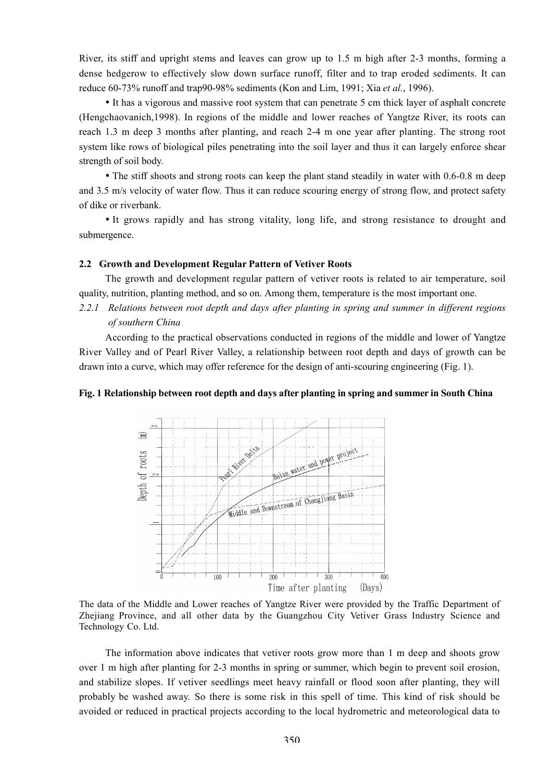River, its stiff and upright stems and leaves can grow up to 1.5 m high after 2-3 months, forming a dense hedgerow to effectively slow down surface runoff, filter and to trap eroded sediments. It can reduce 60-73% runoff and trap90-98% sediments (Kon and Lim, 1991; Xia *et al.*, 1996).

It has a vigorous and massive root system that can penetrate 5 cm thick layer of asphalt concrete (Hengchaovanich,1998). In regions of the middle and lower reaches of Yangtze River, its roots can reach 1.3 m deep 3 months after planting, and reach 2-4 m one year after planting. The strong root system like rows of biological piles penetrating into the soil layer and thus it can largely enforce shear strength of soil body.

The stiff shoots and strong roots can keep the plant stand steadily in water with 0.6-0.8 m deep and 3.5 m/s velocity of water flow. Thus it can reduce scouring energy of strong flow, and protect safety of dike or riverbank.

It grows rapidly and has strong vitality, long life, and strong resistance to drought and submergence.

#### **2.2 Growth and Development Regular Pattern of Vetiver Roots**

The growth and development regular pattern of vetiver roots is related to air temperature, soil quality, nutrition, planting method, and so on. Among them, temperature is the most important one.

*2.2.1 Relations between root depth and days after planting in spring and summer in different regions of southern China*

According to the practical observations conducted in regions of the middle and lower of Yangtze River Valley and of Pearl River Valley, a relationship between root depth and days of growth can be drawn into a curve, which may offer reference for the design of anti-scouring engineering (Fig. 1).

#### **Fig. 1 Relationship between root depth and days after planting in spring and summer in South China**



The data of the Middle and Lower reaches of Yangtze River were provided by the Traffic Department of Zhejiang Province, and all other data by the Guangzhou City Vetiver Grass Industry Science and Technology Co. Ltd.

The information above indicates that vetiver roots grow more than 1 m deep and shoots grow over 1 m high after planting for 2-3 months in spring or summer, which begin to prevent soil erosion, and stabilize slopes. If vetiver seedlings meet heavy rainfall or flood soon after planting, they will probably be washed away. So there is some risk in this spell of time. This kind of risk should be avoided or reduced in practical projects according to the local hydrometric and meteorological data to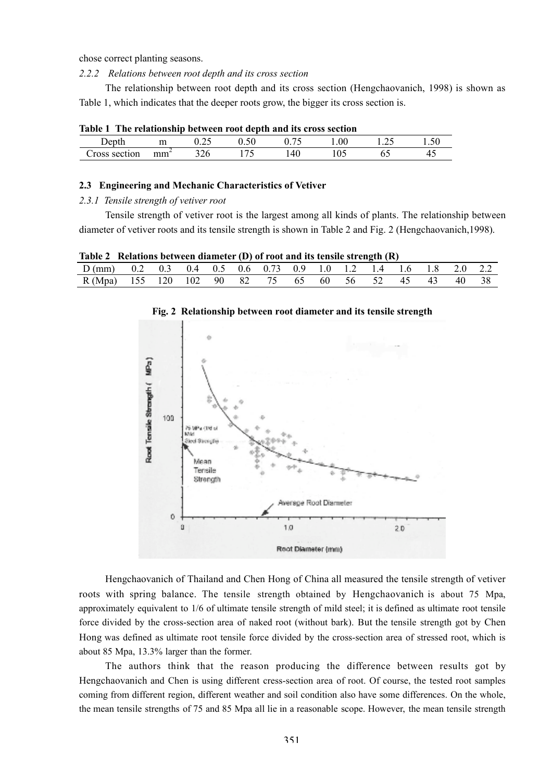chose correct planting seasons.

*2.2.2 Relations between root depth and its cross section*

The relationship between root depth and its cross section (Hengchaovanich, 1998) is shown as Table 1, which indicates that the deeper roots grow, the bigger its cross section is.

| Table 1 The relationship between root depth and its cross section |                 |     |        |     |     |  |
|-------------------------------------------------------------------|-----------------|-----|--------|-----|-----|--|
| Depth                                                             |                 |     | (1.50) |     | 100 |  |
| Cross section                                                     | mm <sup>2</sup> | 326 |        | 140 | 105 |  |

#### **2.3 Engineering and Mechanic Characteristics of Vetiver**

*2.3.1 Tensile strength of vetiver root*

Tensile strength of vetiver root is the largest among all kinds of plants. The relationship between diameter of vetiver roots and its tensile strength is shown in Table 2 and Fig. 2 (Hengchaovanich,1998).

| Table 2 Relations between diameter $(D)$ of root and its tensile strength $(R)$ |  |  |  |  |  |  |       |  |
|---------------------------------------------------------------------------------|--|--|--|--|--|--|-------|--|
| D(mm) 0.2 0.3 0.4 0.5 0.6 0.73 0.9 1.0 1.2 1.4 1.6 1.8 2.0 2.2                  |  |  |  |  |  |  |       |  |
| R(Mpa) 155 120 102 90 82 75 65 60 56 52 45 43                                   |  |  |  |  |  |  | 40 38 |  |



#### **Fig. 2 Relationship between root diameter and its tensile strength**

Hengchaovanich of Thailand and Chen Hong of China all measured the tensile strength of vetiver roots with spring balance. The tensile strength obtained by Hengchaovanich is about 75 Mpa, approximately equivalent to 1/6 of ultimate tensile strength of mild steel; it is defined as ultimate root tensile force divided by the cross-section area of naked root (without bark). But the tensile strength got by Chen Hong was defined as ultimate root tensile force divided by the cross-section area of stressed root, which is about 85 Mpa, 13.3% larger than the former.

The authors think that the reason producing the difference between results got by Hengchaovanich and Chen is using different cress-section area of root. Of course, the tested root samples coming from different region, different weather and soil condition also have some differences. On the whole, the mean tensile strengths of 75 and 85 Mpa all lie in a reasonable scope. However, the mean tensile strength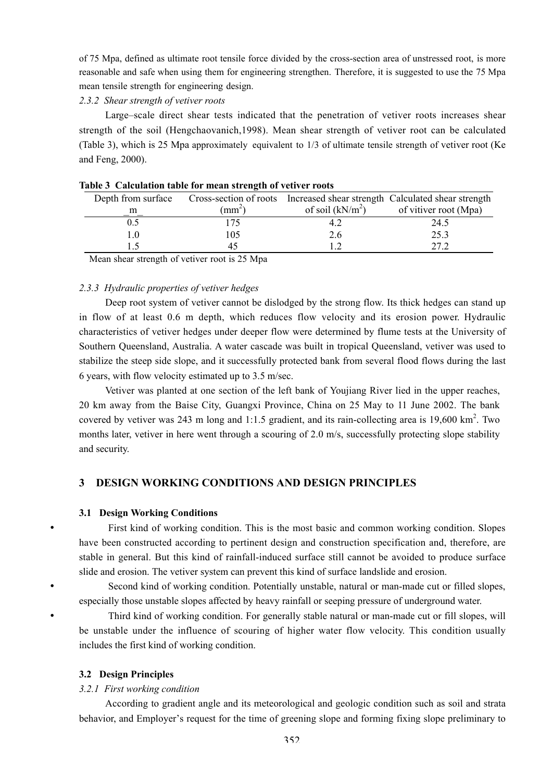of 75 Mpa, defined as ultimate root tensile force divided by the cross-section area of unstressed root, is more reasonable and safe when using them for engineering strengthen. Therefore, it is suggested to use the 75 Mpa mean tensile strength for engineering design.

#### *2.3.2 Shear strength of vetiver roots*

Large–scale direct shear tests indicated that the penetration of vetiver roots increases shear strength of the soil (Hengchaovanich,1998). Mean shear strength of vetiver root can be calculated (Table 3), which is 25 Mpa approximately equivalent to 1/3 of ultimate tensile strength of vetiver root (Ke and Feng, 2000).

| Depth from surface |                                         |                    | Cross-section of roots Increased shear strength Calculated shear strength |
|--------------------|-----------------------------------------|--------------------|---------------------------------------------------------------------------|
| m                  | $\text{m}^{\scriptscriptstyle{\wedge}}$ | of soil $(kN/m^2)$ | of vitiver root (Mpa)                                                     |
|                    |                                         |                    | 24.5                                                                      |
|                    | .05                                     | 2.6                | 25.3                                                                      |
|                    |                                         |                    | າາ າ                                                                      |
|                    |                                         |                    |                                                                           |

|  |  | Table 3 Calculation table for mean strength of vetiver roots |
|--|--|--------------------------------------------------------------|
|  |  |                                                              |

Mean shear strength of vetiver root is 25 Mpa

#### *2.3.3 Hydraulic properties of vetiver hedges*

Deep root system of vetiver cannot be dislodged by the strong flow. Its thick hedges can stand up in flow of at least 0.6 m depth, which reduces flow velocity and its erosion power. Hydraulic characteristics of vetiver hedges under deeper flow were determined by flume tests at the University of Southern Queensland, Australia. A water cascade was built in tropical Queensland, vetiver was used to stabilize the steep side slope, and it successfully protected bank from several flood flows during the last 6 years, with flow velocity estimated up to 3.5 m/sec.

Vetiver was planted at one section of the left bank of Youjiang River lied in the upper reaches, 20 km away from the Baise City, Guangxi Province, China on 25 May to 11 June 2002. The bank covered by vetiver was 243 m long and 1:1.5 gradient, and its rain-collecting area is 19,600 km<sup>2</sup>. Two months later, vetiver in here went through a scouring of 2.0 m/s, successfully protecting slope stability and security.

# **3 DESIGN WORKING CONDITIONS AND DESIGN PRINCIPLES**

#### **3.1 Design Working Conditions**

First kind of working condition. This is the most basic and common working condition. Slopes have been constructed according to pertinent design and construction specification and, therefore, are stable in general. But this kind of rainfall-induced surface still cannot be avoided to produce surface slide and erosion. The vetiver system can prevent this kind of surface landslide and erosion.

Second kind of working condition. Potentially unstable, natural or man-made cut or filled slopes, especially those unstable slopes affected by heavy rainfall or seeping pressure of underground water.

Third kind of working condition. For generally stable natural or man-made cut or fill slopes, will be unstable under the influence of scouring of higher water flow velocity. This condition usually includes the first kind of working condition.

#### **3.2 Design Principles**

#### *3.2.1 First working condition*

According to gradient angle and its meteorological and geologic condition such as soil and strata behavior, and Employer's request for the time of greening slope and forming fixing slope preliminary to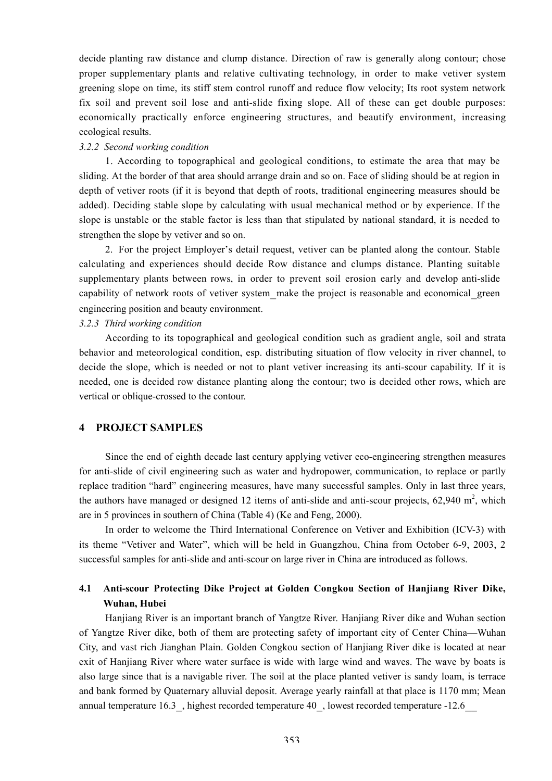decide planting raw distance and clump distance. Direction of raw is generally along contour; chose proper supplementary plants and relative cultivating technology, in order to make vetiver system greening slope on time, its stiff stem control runoff and reduce flow velocity; Its root system network fix soil and prevent soil lose and anti-slide fixing slope. All of these can get double purposes: economically practically enforce engineering structures, and beautify environment, increasing ecological results.

#### *3.2.2 Second working condition*

1. According to topographical and geological conditions, to estimate the area that may be sliding. At the border of that area should arrange drain and so on. Face of sliding should be at region in depth of vetiver roots (if it is beyond that depth of roots, traditional engineering measures should be added). Deciding stable slope by calculating with usual mechanical method or by experience. If the slope is unstable or the stable factor is less than that stipulated by national standard, it is needed to strengthen the slope by vetiver and so on.

2. For the project Employer's detail request, vetiver can be planted along the contour. Stable calculating and experiences should decide Row distance and clumps distance. Planting suitable supplementary plants between rows, in order to prevent soil erosion early and develop anti-slide capability of network roots of vetiver system\_make the project is reasonable and economical\_green engineering position and beauty environment.

# *3.2.3 Third working condition*

According to its topographical and geological condition such as gradient angle, soil and strata behavior and meteorological condition, esp. distributing situation of flow velocity in river channel, to decide the slope, which is needed or not to plant vetiver increasing its anti-scour capability. If it is needed, one is decided row distance planting along the contour; two is decided other rows, which are vertical or oblique-crossed to the contour.

### **4 PROJECT SAMPLES**

Since the end of eighth decade last century applying vetiver eco-engineering strengthen measures for anti-slide of civil engineering such as water and hydropower, communication, to replace or partly replace tradition "hard" engineering measures, have many successful samples. Only in last three years, the authors have managed or designed 12 items of anti-slide and anti-scour projects,  $62,940$  m<sup>2</sup>, which are in 5 provinces in southern of China (Table 4) (Ke and Feng, 2000).

In order to welcome the Third International Conference on Vetiver and Exhibition (ICV-3) with its theme "Vetiver and Water", which will be held in Guangzhou, China from October 6-9, 2003, 2 successful samples for anti-slide and anti-scour on large river in China are introduced as follows.

# **4.1 Anti-scour Protecting Dike Project at Golden Congkou Section of Hanjiang River Dike, Wuhan, Hubei**

Hanjiang River is an important branch of Yangtze River. Hanjiang River dike and Wuhan section of Yangtze River dike, both of them are protecting safety of important city of Center China—Wuhan City, and vast rich Jianghan Plain. Golden Congkou section of Hanjiang River dike is located at near exit of Hanjiang River where water surface is wide with large wind and waves. The wave by boats is also large since that is a navigable river. The soil at the place planted vetiver is sandy loam, is terrace and bank formed by Quaternary alluvial deposit. Average yearly rainfall at that place is 1170 mm; Mean annual temperature 16.3 , highest recorded temperature 40 , lowest recorded temperature -12.6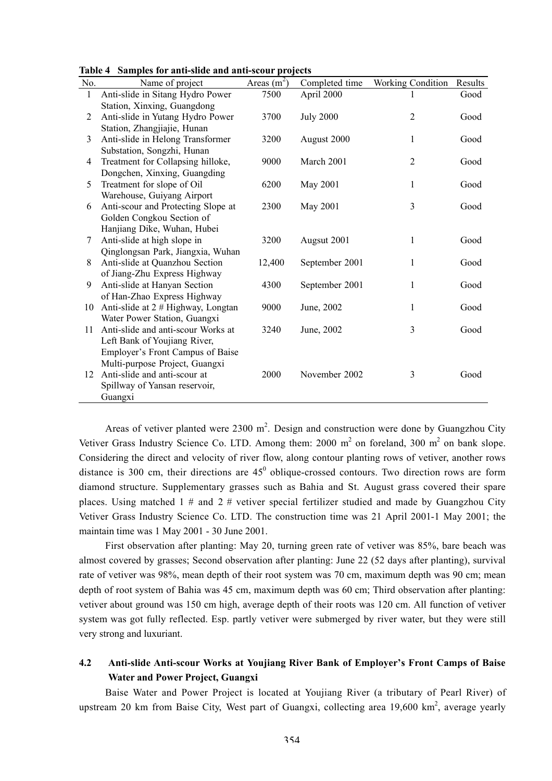| Table 4 Samples for anti-slide and anti-scour projects |  |  |  |  |  |  |  |
|--------------------------------------------------------|--|--|--|--|--|--|--|
|--------------------------------------------------------|--|--|--|--|--|--|--|

| No. | Name of project                                                | Areas $(m^2)$ | Completed time   | <b>Working Condition</b> | Results |
|-----|----------------------------------------------------------------|---------------|------------------|--------------------------|---------|
| 1   | Anti-slide in Sitang Hydro Power                               | 7500          | April 2000       |                          | Good    |
|     | Station, Xinxing, Guangdong                                    |               |                  |                          |         |
| 2   | Anti-slide in Yutang Hydro Power                               | 3700          | <b>July 2000</b> | $\overline{2}$           | Good    |
|     | Station, Zhangjiajie, Hunan                                    |               |                  |                          |         |
| 3   | Anti-slide in Helong Transformer                               | 3200          | August 2000      | 1                        | Good    |
|     | Substation, Songzhi, Hunan                                     |               |                  |                          |         |
| 4   | Treatment for Collapsing hilloke,                              | 9000          | March 2001       | $\overline{2}$           | Good    |
|     | Dongchen, Xinxing, Guangding                                   |               |                  |                          |         |
| 5   | Treatment for slope of Oil                                     | 6200          | May 2001         | 1                        | Good    |
|     | Warehouse, Guiyang Airport                                     |               |                  |                          |         |
| 6   | Anti-scour and Protecting Slope at                             | 2300          | May 2001         | 3                        | Good    |
|     | Golden Congkou Section of                                      |               |                  |                          |         |
|     | Hanjiang Dike, Wuhan, Hubei                                    |               |                  |                          |         |
| 7   | Anti-slide at high slope in                                    | 3200          | Augsut 2001      | 1                        | Good    |
|     | Qinglongsan Park, Jiangxia, Wuhan                              |               |                  |                          |         |
| 8   | Anti-slide at Quanzhou Section                                 | 12,400        | September 2001   | 1                        | Good    |
|     | of Jiang-Zhu Express Highway                                   |               |                  |                          |         |
| 9   | Anti-slide at Hanyan Section                                   | 4300          | September 2001   | 1                        | Good    |
|     | of Han-Zhao Express Highway                                    |               |                  |                          |         |
| 10  | Anti-slide at 2 # Highway, Longtan                             | 9000          | June, 2002       | 1                        | Good    |
|     | Water Power Station, Guangxi                                   |               |                  |                          |         |
| 11  | Anti-slide and anti-scour Works at                             | 3240          | June, 2002       | 3                        | Good    |
|     | Left Bank of Youjiang River,                                   |               |                  |                          |         |
|     | Employer's Front Campus of Baise                               |               |                  |                          |         |
| 12  | Multi-purpose Project, Guangxi<br>Anti-slide and anti-scour at | 2000          | November 2002    | 3                        | Good    |
|     | Spillway of Yansan reservoir,                                  |               |                  |                          |         |
|     |                                                                |               |                  |                          |         |
|     | Guangxi                                                        |               |                  |                          |         |

Areas of vetiver planted were  $2300 \text{ m}^2$ . Design and construction were done by Guangzhou City Vetiver Grass Industry Science Co. LTD. Among them: 2000  $m^2$  on foreland, 300  $m^2$  on bank slope. Considering the direct and velocity of river flow, along contour planting rows of vetiver, another rows distance is 300 cm, their directions are  $45^{\circ}$  oblique-crossed contours. Two direction rows are form diamond structure. Supplementary grasses such as Bahia and St. August grass covered their spare places. Using matched  $1 \#$  and  $2 \#$  vetiver special fertilizer studied and made by Guangzhou City Vetiver Grass Industry Science Co. LTD. The construction time was 21 April 2001-1 May 2001; the maintain time was 1 May 2001 - 30 June 2001.

First observation after planting: May 20, turning green rate of vetiver was 85%, bare beach was almost covered by grasses; Second observation after planting: June 22 (52 days after planting), survival rate of vetiver was 98%, mean depth of their root system was 70 cm, maximum depth was 90 cm; mean depth of root system of Bahia was 45 cm, maximum depth was 60 cm; Third observation after planting: vetiver about ground was 150 cm high, average depth of their roots was 120 cm. All function of vetiver system was got fully reflected. Esp. partly vetiver were submerged by river water, but they were still very strong and luxuriant.

# **4.2 Anti-slide Anti-scour Works at Youjiang River Bank of Employer's Front Camps of Baise Water and Power Project, Guangxi**

Baise Water and Power Project is located at Youjiang River (a tributary of Pearl River) of upstream 20 km from Baise City, West part of Guangxi, collecting area 19,600 km<sup>2</sup>, average yearly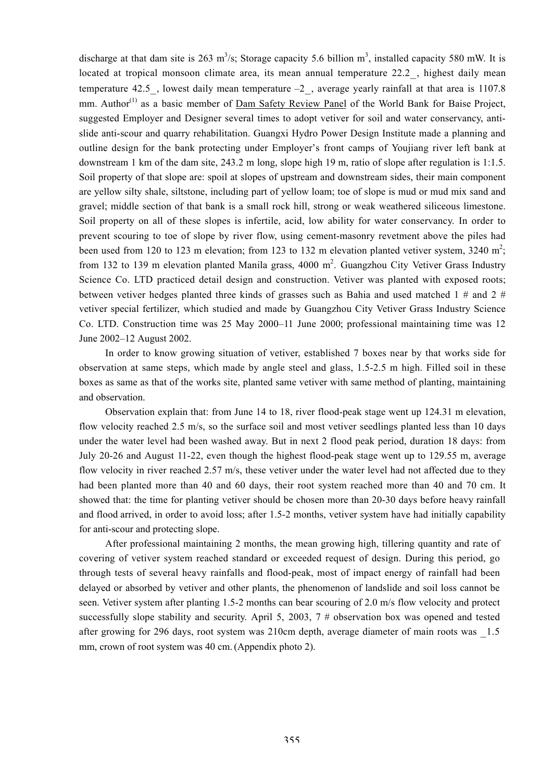discharge at that dam site is 263 m<sup>3</sup>/s; Storage capacity 5.6 billion m<sup>3</sup>, installed capacity 580 mW. It is located at tropical monsoon climate area, its mean annual temperature 22.2, highest daily mean temperature 42.5, lowest daily mean temperature  $-2$ , average yearly rainfall at that area is 1107.8 mm. Author<sup>(1)</sup> as a basic member of Dam Safety Review Panel of the World Bank for Baise Project, suggested Employer and Designer several times to adopt vetiver for soil and water conservancy, antislide anti-scour and quarry rehabilitation. Guangxi Hydro Power Design Institute made a planning and outline design for the bank protecting under Employer's front camps of Youjiang river left bank at downstream 1 km of the dam site, 243.2 m long, slope high 19 m, ratio of slope after regulation is 1:1.5. Soil property of that slope are: spoil at slopes of upstream and downstream sides, their main component are yellow silty shale, siltstone, including part of yellow loam; toe of slope is mud or mud mix sand and gravel; middle section of that bank is a small rock hill, strong or weak weathered siliceous limestone. Soil property on all of these slopes is infertile, acid, low ability for water conservancy. In order to prevent scouring to toe of slope by river flow, using cement-masonry revetment above the piles had been used from 120 to 123 m elevation; from 123 to 132 m elevation planted vetiver system, 3240 m<sup>2</sup>; from 132 to 139 m elevation planted Manila grass, 4000 m<sup>2</sup>. Guangzhou City Vetiver Grass Industry Science Co. LTD practiced detail design and construction. Vetiver was planted with exposed roots; between vetiver hedges planted three kinds of grasses such as Bahia and used matched 1  $\#$  and 2  $\#$ vetiver special fertilizer, which studied and made by Guangzhou City Vetiver Grass Industry Science Co. LTD. Construction time was 25 May 2000–11 June 2000; professional maintaining time was 12 June 2002–12 August 2002.

In order to know growing situation of vetiver, established 7 boxes near by that works side for observation at same steps, which made by angle steel and glass, 1.5-2.5 m high. Filled soil in these boxes as same as that of the works site, planted same vetiver with same method of planting, maintaining and observation.

Observation explain that: from June 14 to 18, river flood-peak stage went up 124.31 m elevation, flow velocity reached 2.5 m/s, so the surface soil and most vetiver seedlings planted less than 10 days under the water level had been washed away. But in next 2 flood peak period, duration 18 days: from July 20-26 and August 11-22, even though the highest flood-peak stage went up to 129.55 m, average flow velocity in river reached 2.57 m/s, these vetiver under the water level had not affected due to they had been planted more than 40 and 60 days, their root system reached more than 40 and 70 cm. It showed that: the time for planting vetiver should be chosen more than 20-30 days before heavy rainfall and flood arrived, in order to avoid loss; after 1.5-2 months, vetiver system have had initially capability for anti-scour and protecting slope.

After professional maintaining 2 months, the mean growing high, tillering quantity and rate of covering of vetiver system reached standard or exceeded request of design. During this period, go through tests of several heavy rainfalls and flood-peak, most of impact energy of rainfall had been delayed or absorbed by vetiver and other plants, the phenomenon of landslide and soil loss cannot be seen. Vetiver system after planting 1.5-2 months can bear scouring of 2.0 m/s flow velocity and protect successfully slope stability and security. April 5, 2003,  $7 \#$  observation box was opened and tested after growing for 296 days, root system was 210cm depth, average diameter of main roots was \_1.5 mm, crown of root system was 40 cm. (Appendix photo 2).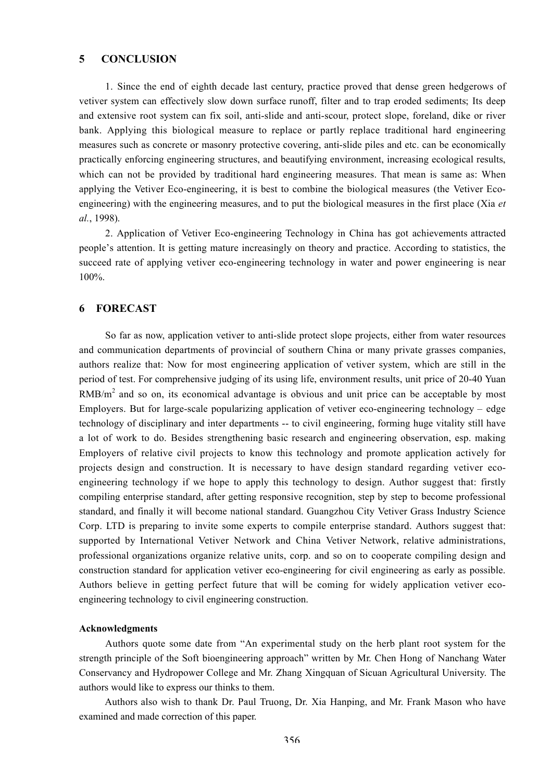### **5 CONCLUSION**

1. Since the end of eighth decade last century, practice proved that dense green hedgerows of vetiver system can effectively slow down surface runoff, filter and to trap eroded sediments; Its deep and extensive root system can fix soil, anti-slide and anti-scour, protect slope, foreland, dike or river bank. Applying this biological measure to replace or partly replace traditional hard engineering measures such as concrete or masonry protective covering, anti-slide piles and etc. can be economically practically enforcing engineering structures, and beautifying environment, increasing ecological results, which can not be provided by traditional hard engineering measures. That mean is same as: When applying the Vetiver Eco-engineering, it is best to combine the biological measures (the Vetiver Ecoengineering) with the engineering measures, and to put the biological measures in the first place (Xia *et al.*, 1998).

2. Application of Vetiver Eco-engineering Technology in China has got achievements attracted people's attention. It is getting mature increasingly on theory and practice. According to statistics, the succeed rate of applying vetiver eco-engineering technology in water and power engineering is near 100%.

#### **6 FORECAST**

So far as now, application vetiver to anti-slide protect slope projects, either from water resources and communication departments of provincial of southern China or many private grasses companies, authors realize that: Now for most engineering application of vetiver system, which are still in the period of test. For comprehensive judging of its using life, environment results, unit price of 20-40 Yuan  $RMB/m<sup>2</sup>$  and so on, its economical advantage is obvious and unit price can be acceptable by most Employers. But for large-scale popularizing application of vetiver eco-engineering technology – edge technology of disciplinary and inter departments -- to civil engineering, forming huge vitality still have a lot of work to do. Besides strengthening basic research and engineering observation, esp. making Employers of relative civil projects to know this technology and promote application actively for projects design and construction. It is necessary to have design standard regarding vetiver ecoengineering technology if we hope to apply this technology to design. Author suggest that: firstly compiling enterprise standard, after getting responsive recognition, step by step to become professional standard, and finally it will become national standard. Guangzhou City Vetiver Grass Industry Science Corp. LTD is preparing to invite some experts to compile enterprise standard. Authors suggest that: supported by International Vetiver Network and China Vetiver Network, relative administrations, professional organizations organize relative units, corp. and so on to cooperate compiling design and construction standard for application vetiver eco-engineering for civil engineering as early as possible. Authors believe in getting perfect future that will be coming for widely application vetiver ecoengineering technology to civil engineering construction.

#### **Acknowledgments**

Authors quote some date from "An experimental study on the herb plant root system for the strength principle of the Soft bioengineering approach" written by Mr. Chen Hong of Nanchang Water Conservancy and Hydropower College and Mr. Zhang Xingquan of Sicuan Agricultural University. The authors would like to express our thinks to them.

Authors also wish to thank Dr. Paul Truong, Dr. Xia Hanping, and Mr. Frank Mason who have examined and made correction of this paper.